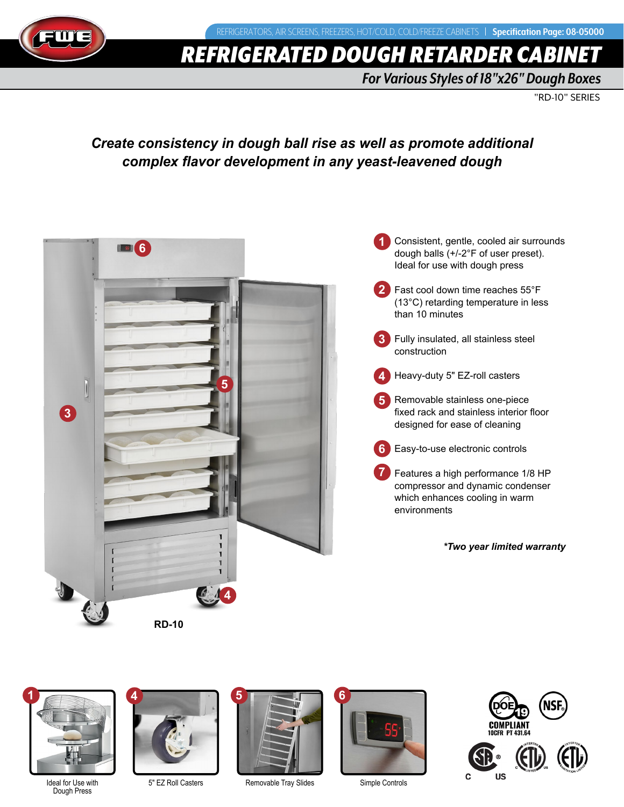# *REFRIGERATED DOUGH RETARDER CABI*

*For Various Styles of 18"x26" Dough Boxes*

"RD-10" SERIES

## *Create consistency in dough ball rise as well as promote additional complex flavor development in any yeast-leavened dough*





Dough Press

**4**

5" EZ Roll Casters



Removable Tray Slides



Simple Controls